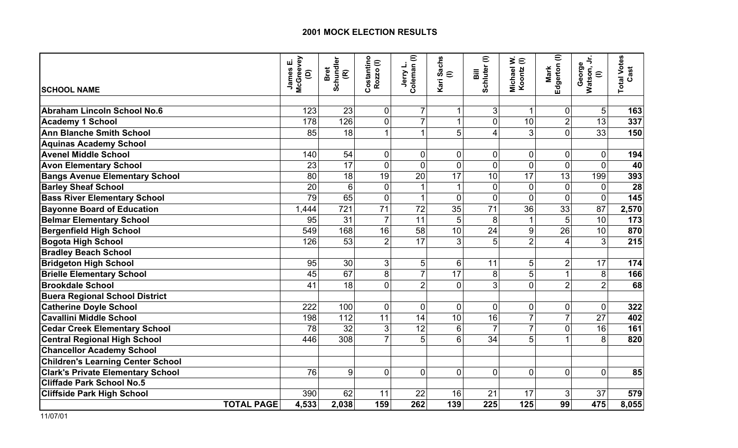|                                          |                   | McGreevey<br>ய்<br>James<br>ê | Schundler<br>(R)<br>Bret | Costantino<br>Rozzo (I) | Jerry L.<br>Coleman (I) | Kari Sachs<br>$\widehat{=}$ | Schluter <sup>(I)</sup><br>Bill | ∋ׂ<br>Michael<br>Koontz | Edgerton (I)<br>Mark    | George<br>Watson, Jr.<br>$\mathrel{\widehat{=}}$ | <b>Total Votes</b><br>Cast |
|------------------------------------------|-------------------|-------------------------------|--------------------------|-------------------------|-------------------------|-----------------------------|---------------------------------|-------------------------|-------------------------|--------------------------------------------------|----------------------------|
| <b>SCHOOL NAME</b>                       |                   |                               |                          |                         |                         |                             |                                 |                         |                         |                                                  |                            |
| Abraham Lincoln School No.6              |                   | 123                           | 23                       | $\overline{0}$          | 7                       |                             | $\mathbf{3}$                    |                         | 0                       | 5                                                | 163                        |
| <b>Academy 1 School</b>                  |                   | 178                           | 126                      | $\overline{0}$          | $\overline{7}$          | 1                           | $\mathbf 0$                     | 10                      | $\overline{2}$          | 13                                               | 337                        |
| <b>Ann Blanche Smith School</b>          |                   | 85                            | 18                       | 1                       | 1                       | 5                           | $\overline{4}$                  | 3                       | $\Omega$                | 33                                               | 150                        |
| <b>Aquinas Academy School</b>            |                   |                               |                          |                         |                         |                             |                                 |                         |                         |                                                  |                            |
| <b>Avenel Middle School</b>              |                   | 140                           | 54                       | $\overline{0}$          | 0                       | $\overline{0}$              | $\pmb{0}$                       | $\overline{0}$          | $\overline{0}$          | $\mathbf 0$                                      | 194                        |
| <b>Avon Elementary School</b>            |                   | 23                            | 17                       | $\overline{0}$          | $\overline{0}$          | $\overline{0}$              | $\overline{0}$                  | $\overline{0}$          | $\overline{0}$          | $\mathbf{0}$                                     | 40                         |
| <b>Bangs Avenue Elementary School</b>    |                   | 80                            | $\overline{18}$          | 19                      | $\overline{20}$         | 17                          | $\overline{10}$                 | 17                      | $\overline{13}$         | 199                                              | 393                        |
| <b>Barley Sheaf School</b>               |                   | 20                            | 6                        | 0                       |                         |                             | $\pmb{0}$                       | $\mathbf 0$             | $\overline{0}$          | $\mathbf 0$                                      | 28                         |
| <b>Bass River Elementary School</b>      |                   | 79                            | 65                       | $\overline{0}$          |                         | $\overline{0}$              | $\mathbf 0$                     | $\overline{0}$          | $\overline{0}$          | $\mathbf 0$                                      | 145                        |
| <b>Bayonne Board of Education</b>        |                   | 1,444                         | 721                      | 71                      | 72                      | 35                          | 71                              | 36                      | 33                      | 87                                               | 2,570                      |
| <b>Belmar Elementary School</b>          |                   | 95                            | 31                       | $\overline{7}$          | 11                      | 5                           | 8                               | $\mathbf{1}$            | 5                       | 10                                               | 173                        |
| <b>Bergenfield High School</b>           |                   | 549                           | 168                      | 16                      | 58                      | 10                          | 24                              | 9                       | 26                      | 10                                               | 870                        |
| <b>Bogota High School</b>                |                   | 126                           | 53                       | $\overline{2}$          | 17                      | 3                           | 5                               | $\overline{2}$          | $\overline{\mathbf{4}}$ | 3                                                | 215                        |
| <b>Bradley Beach School</b>              |                   |                               |                          |                         |                         |                             |                                 |                         |                         |                                                  |                            |
| <b>Bridgeton High School</b>             |                   | 95                            | 30                       | $\overline{3}$          | 5                       | 6                           | 11                              | 5                       | $\overline{2}$          | 17                                               | 174                        |
| <b>Brielle Elementary School</b>         |                   | 45                            | 67                       | 8                       | $\overline{7}$          | 17                          | 8                               | 5                       | $\mathbf 1$             | 8                                                | 166                        |
| <b>Brookdale School</b>                  |                   | 41                            | 18                       | $\Omega$                | $\overline{2}$          | $\Omega$                    | $\overline{3}$                  | $\overline{0}$          | $\overline{2}$          | $\overline{2}$                                   | 68                         |
| <b>Buera Regional School District</b>    |                   |                               |                          |                         |                         |                             |                                 |                         |                         |                                                  |                            |
| <b>Catherine Doyle School</b>            |                   | 222                           | 100                      | $\overline{0}$          | $\overline{0}$          | $\overline{0}$              | $\mathbf 0$                     | $\mathbf 0$             | $\mathbf 0$             | $\mathbf 0$                                      | 322                        |
| <b>Cavallini Middle School</b>           |                   | 198                           | 112                      | 11                      | 14                      | 10                          | 16                              | $\overline{7}$          | $\overline{7}$          | 27                                               | 402                        |
| <b>Cedar Creek Elementary School</b>     |                   | 78                            | 32                       | $\overline{3}$          | 12                      | 6                           | $\overline{7}$                  | $\overline{7}$          | $\overline{0}$          | 16                                               | 161                        |
| <b>Central Regional High School</b>      |                   | 446                           | 308                      | $\overline{7}$          | 5                       | 6                           | 34                              | 5                       |                         | 8                                                | 820                        |
| <b>Chancellor Academy School</b>         |                   |                               |                          |                         |                         |                             |                                 |                         |                         |                                                  |                            |
| <b>Children's Learning Center School</b> |                   |                               |                          |                         |                         |                             |                                 |                         |                         |                                                  |                            |
| <b>Clark's Private Elementary School</b> |                   | 76                            | 9                        | $\Omega$                | $\overline{0}$          | $\Omega$                    | $\mathbf 0$                     | $\overline{0}$          | $\overline{0}$          | $\mathbf 0$                                      | 85                         |
| <b>Cliffade Park School No.5</b>         |                   |                               |                          |                         |                         |                             |                                 |                         |                         |                                                  |                            |
| <b>Cliffside Park High School</b>        |                   | 390                           | 62                       | 11                      | 22                      | 16                          | 21                              | 17                      | 3                       | 37                                               | 579                        |
|                                          | <b>TOTAL PAGE</b> | 4,533                         | 2,038                    | 159                     | 262                     | 139                         | 225                             | 125                     | 99                      | 475                                              | 8,055                      |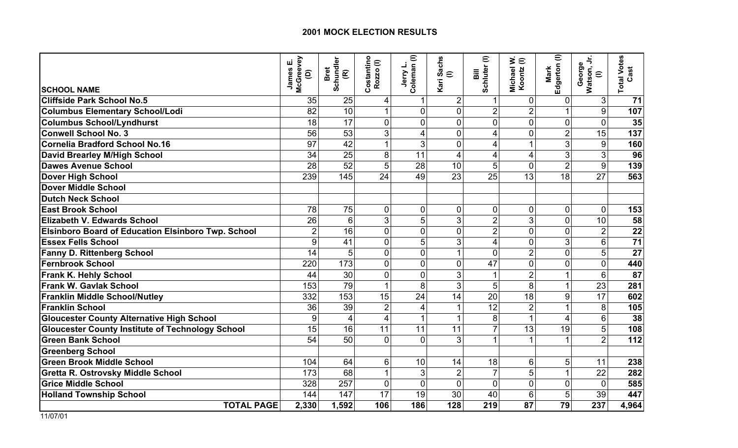|                                                           | McGreevey<br>ші<br>James<br>ê | Schundler<br>(R)<br><b>Bret</b> | Costantino<br>$\mathrel{\widehat{=}}$<br>Rozzo | Jerry L.<br>Coleman (I) | <b>Sachs</b><br>$\in$<br>Kari | Schluter <sup>(I)</sup><br>Bill | ∋ ≳<br>Michael<br>Koontz | Edgerton (I)<br>Mark | George<br>Watson, Jr.<br>$\mathrel{\widehat{=}}$ | <b>Total Votes</b><br>Cast |
|-----------------------------------------------------------|-------------------------------|---------------------------------|------------------------------------------------|-------------------------|-------------------------------|---------------------------------|--------------------------|----------------------|--------------------------------------------------|----------------------------|
| <b>SCHOOL NAME</b>                                        |                               |                                 |                                                |                         |                               |                                 |                          |                      |                                                  |                            |
| <b>Cliffside Park School No.5</b>                         | 35                            | 25                              | 4                                              |                         | $\overline{2}$                | $\mathbf{1}$                    | $\overline{0}$           | $\mathbf 0$          | $\overline{3}$                                   | 71                         |
| <b>Columbus Elementary School/Lodi</b>                    | 82                            | 10                              |                                                | 0                       | $\overline{0}$                | $\overline{2}$                  | $\overline{2}$           |                      | 9                                                | 107                        |
| <b>Columbus School/Lyndhurst</b>                          | 18                            | 17                              | $\overline{0}$                                 | $\overline{0}$          | $\overline{0}$                | $\overline{0}$                  | $\overline{0}$           | $\overline{0}$       | $\overline{0}$                                   | 35                         |
| <b>Conwell School No. 3</b>                               | 56                            | 53                              | 3                                              | 4                       | $\overline{0}$                | 4                               | $\mathbf 0$              | $\overline{2}$       | 15                                               | 137                        |
| <b>Cornelia Bradford School No.16</b>                     | 97                            | 42                              |                                                | 3                       | $\overline{0}$                | 4                               | 1                        | 3                    | 9                                                | 160                        |
| David Brearley M/High School                              | 34                            | 25                              | 8                                              | 11                      | 4                             | $\overline{\mathbf{4}}$         | $\overline{4}$           | 3                    | 3                                                | 96                         |
| Dawes Avenue School                                       | 28                            | 52                              | 5                                              | 28                      | 10                            | 5                               | $\mathbf 0$              | $\overline{2}$       | 9                                                | 139                        |
| <b>Dover High School</b>                                  | 239                           | 145                             | 24                                             | 49                      | 23                            | 25                              | 13                       | 18                   | 27                                               | 563                        |
| Dover Middle School                                       |                               |                                 |                                                |                         |                               |                                 |                          |                      |                                                  |                            |
| <b>Dutch Neck School</b>                                  |                               |                                 |                                                |                         |                               |                                 |                          |                      |                                                  |                            |
| <b>East Brook School</b>                                  | 78                            | 75                              | $\Omega$                                       | 0                       | $\overline{0}$                | $\pmb{0}$                       | $\mathbf 0$              | $\overline{0}$       | $\Omega$                                         | 153                        |
| <b>Elizabeth V. Edwards School</b>                        | 26                            | 6                               | 3                                              | 5                       | 3                             | $\overline{2}$                  | 3                        | $\overline{0}$       | 10                                               | 58                         |
| <b>Elsinboro Board of Education Elsinboro Twp. School</b> | $\overline{2}$                | 16                              | $\overline{0}$                                 | $\overline{0}$          | $\overline{0}$                | $\overline{2}$                  | $\overline{0}$           | $\overline{0}$       | $\overline{2}$                                   | $\overline{22}$            |
| <b>Essex Fells School</b>                                 | 9                             | 41                              | $\Omega$                                       | 5                       | 3                             | $\overline{4}$                  | $\overline{0}$           | 3                    | 6                                                | 71                         |
| <b>Fanny D. Rittenberg School</b>                         | 14                            | 5                               | $\mathbf 0$                                    | 0                       | 1                             | $\overline{0}$                  | $\overline{2}$           | $\overline{0}$       | 5                                                | 27                         |
| <b>Fernbrook School</b>                                   | 220                           | 173                             | $\mathbf 0$                                    | 0                       | $\overline{0}$                | 47                              | $\mathbf 0$              | $\overline{0}$       | $\mathbf 0$                                      | 440                        |
| <b>Frank K. Hehly School</b>                              | 44                            | $\overline{30}$                 | $\overline{0}$                                 | $\overline{0}$          | 3                             | $\mathbf{1}$                    | $\overline{2}$           |                      | $6\phantom{1}$                                   | 87                         |
| <b>Frank W. Gavlak School</b>                             | 153                           | 79                              | 1                                              | 8                       | 3                             | 5                               | 8                        | 1                    | 23                                               | 281                        |
| <b>Franklin Middle School/Nutley</b>                      | 332                           | 153                             | 15                                             | 24                      | 14                            | 20                              | 18                       | 9                    | 17                                               | 602                        |
| <b>Franklin School</b>                                    | 36                            | 39                              | $\overline{2}$                                 | 4                       |                               | 12                              | $\overline{2}$           |                      | 8                                                | 105                        |
| <b>Gloucester County Alternative High School</b>          | 9                             | $\overline{4}$                  | 4                                              |                         | 1                             | 8                               | $\overline{1}$           | $\overline{4}$       | $6\phantom{1}$                                   | 38                         |
| <b>Gloucester County Institute of Technology School</b>   | 15                            | 16                              | 11                                             | 11                      | 11                            | $\overline{7}$                  | 13                       | 19                   | 5                                                | 108                        |
| <b>Green Bank School</b>                                  | 54                            | 50                              | $\overline{0}$                                 | $\overline{0}$          | 3                             | $\mathbf{1}$                    | 1                        | 1                    | $\overline{2}$                                   | 112                        |
| <b>Greenberg School</b>                                   |                               |                                 |                                                |                         |                               |                                 |                          |                      |                                                  |                            |
| <b>Green Brook Middle School</b>                          | 104                           | 64                              | 6                                              | 10                      | 14                            | 18                              | $6\phantom{1}6$          | 5                    | 11                                               | 238                        |
| <b>Gretta R. Ostrovsky Middle School</b>                  | 173                           | 68                              | $\mathbf 1$                                    | 3                       | $\overline{2}$                | $\overline{7}$                  | 5                        | 1                    | 22                                               | 282                        |
| <b>Grice Middle School</b>                                | 328                           | 257                             | $\overline{0}$                                 | $\overline{0}$          | $\overline{0}$                | $\overline{0}$                  | $\mathbf 0$              | $\overline{0}$       | $\mathbf{0}$                                     | 585                        |
| <b>Holland Township School</b>                            | 144                           | 147                             | 17                                             | 19                      | 30                            | 40                              | 6                        | 5                    | 39                                               | 447                        |
| <b>TOTAL PAGE</b>                                         | 2,330                         | 1,592                           | 106                                            | 186                     | 128                           | 219                             | 87                       | 79                   | 237                                              | 4,964                      |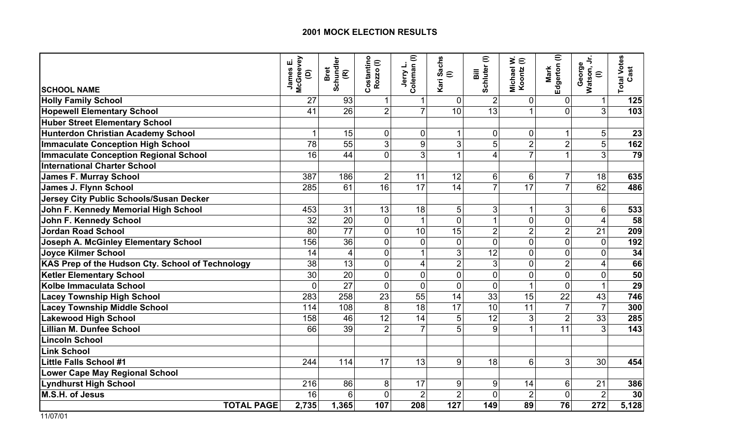|                                                  | McGreevey<br>ші<br>James<br>$\widehat{e}$ | Schundler<br>(R)<br>Bret | Costantino<br>Rozzo (I) | Jerry L.<br>Coleman (I) | <b>Sachs</b><br>$\in$<br>Kari | Schluter <sup>(I)</sup><br>Bill | ∋ ≳<br>Michael<br>Koontz | Edgerton (I)<br>Mark | George<br>Watson, Jr.<br>$\mathrel{\widehat{=}}$ | <b>Total Votes</b><br>Cast |
|--------------------------------------------------|-------------------------------------------|--------------------------|-------------------------|-------------------------|-------------------------------|---------------------------------|--------------------------|----------------------|--------------------------------------------------|----------------------------|
| <b>SCHOOL NAME</b>                               |                                           |                          |                         |                         |                               |                                 |                          |                      |                                                  |                            |
| <b>Holly Family School</b>                       | 27                                        | 93                       | $\mathbf{1}$            |                         | $\Omega$                      | $\overline{2}$                  | $\overline{0}$           | $\pmb{0}$            | $\mathbf{1}$                                     | 125                        |
| <b>Hopewell Elementary School</b>                | 41                                        | 26                       | $\overline{2}$          |                         | 10                            | 13                              |                          | $\overline{0}$       | 3                                                | 103                        |
| <b>Huber Street Elementary School</b>            |                                           |                          |                         |                         |                               |                                 |                          |                      |                                                  |                            |
| Hunterdon Christian Academy School               |                                           | 15                       | $\overline{0}$          | $\mathbf 0$             | 1                             | $\mathbf 0$                     | $\mathbf 0$              | $\mathbf 1$          | 5 <sup>1</sup>                                   | 23                         |
| <b>Immaculate Conception High School</b>         | 78                                        | $\overline{55}$          | 3 <sup>1</sup>          | 9                       | 3                             | $\overline{5}$                  | $\overline{2}$           | $\overline{2}$       | $\overline{5}$                                   | 162                        |
| Immaculate Conception Regional School            | 16                                        | 44                       | $\Omega$                | 3                       |                               | $\overline{4}$                  | $\overline{7}$           |                      | 3                                                | 79                         |
| International Charter School                     |                                           |                          |                         |                         |                               |                                 |                          |                      |                                                  |                            |
| <b>James F. Murray School</b>                    | 387                                       | 186                      | 2 <sup>1</sup>          | 11                      | 12                            | 6                               | 6                        | $\overline{7}$       | 18                                               | 635                        |
| James J. Flynn School                            | 285                                       | 61                       | 16                      | 17                      | 14                            | $\overline{7}$                  | 17                       | $\overline{7}$       | 62                                               | 486                        |
| Jersey City Public Schools/Susan Decker          |                                           |                          |                         |                         |                               |                                 |                          |                      |                                                  |                            |
| John F. Kennedy Memorial High School             | 453                                       | 31                       | 13                      | 18                      | 5                             | $\mathfrak{S}$                  | $\mathbf{1}$             | 3                    | 6                                                | 533                        |
| John F. Kennedy School                           | 32                                        | 20                       | $\overline{0}$          |                         | $\overline{0}$                | 1                               | $\mathbf 0$              | $\overline{0}$       | $\overline{4}$                                   | 58                         |
| <b>Jordan Road School</b>                        | 80                                        | 77                       | $\overline{0}$          | 10                      | 15                            | $\overline{2}$                  | $\overline{2}$           | $\overline{2}$       | 21                                               | 209                        |
| Joseph A. McGinley Elementary School             | 156                                       | 36                       | $\overline{0}$          | $\overline{0}$          | $\overline{0}$                | $\overline{0}$                  | $\mathbf 0$              | $\overline{0}$       | $\mathbf{0}$                                     | 192                        |
| <b>Joyce Kilmer School</b>                       | 14                                        | $\overline{4}$           | $\Omega$                |                         | 3                             | 12                              | $\overline{0}$           | $\overline{0}$       | $\overline{0}$                                   | 34                         |
| KAS Prep of the Hudson Cty. School of Technology | 38                                        | 13                       | $\Omega$                | 4                       | $\overline{2}$                | 3                               | $\mathbf 0$              | $\overline{2}$       | 4                                                | 66                         |
| <b>Ketler Elementary School</b>                  | 30                                        | 20                       | $\overline{0}$          | $\overline{0}$          | $\overline{0}$                | $\mathbf 0$                     | $\mathbf 0$              | $\overline{0}$       | $\overline{0}$                                   | 50                         |
| Kolbe Immaculata School                          | $\overline{0}$                            | 27                       | $\Omega$                | $\overline{0}$          | $\overline{0}$                | $\mathbf 0$                     | 1                        | $\overline{0}$       | 1                                                | $\overline{29}$            |
| <b>Lacey Township High School</b>                | 283                                       | 258                      | 23                      | 55                      | 14                            | 33                              | 15                       | 22                   | 43                                               | 746                        |
| <b>Lacey Township Middle School</b>              | 114                                       | 108                      | 8                       | 18                      | 17                            | 10                              | 11                       | $\overline{7}$       | $\overline{7}$                                   | 300                        |
| Lakewood High School                             | 158                                       | 46                       | 12                      | 14                      | 5                             | 12                              | 3                        | $\overline{2}$       | 33                                               | 285                        |
| Lillian M. Dunfee School                         | 66                                        | 39                       | $\overline{2}$          |                         | 5                             | 9                               | $\overline{1}$           | 11                   | 3                                                | 143                        |
| <b>Lincoln School</b>                            |                                           |                          |                         |                         |                               |                                 |                          |                      |                                                  |                            |
| <b>Link School</b>                               |                                           |                          |                         |                         |                               |                                 |                          |                      |                                                  |                            |
| Little Falls School #1                           | 244                                       | 114                      | 17                      | 13                      | 9                             | 18                              | 6                        | 3                    | 30                                               | 454                        |
| <b>Lower Cape May Regional School</b>            |                                           |                          |                         |                         |                               |                                 |                          |                      |                                                  |                            |
| <b>Lyndhurst High School</b>                     | 216                                       | 86                       | 8                       | 17                      | 9                             | 9                               | 14                       | 6                    | 21                                               | 386                        |
| <b>M.S.H. of Jesus</b>                           | 16                                        | 6                        | $\Omega$                | $\overline{2}$          | $\overline{2}$                | $\overline{0}$                  | $\overline{2}$           | $\Omega$             | $\overline{2}$                                   | 30                         |
| <b>TOTAL PAGE</b>                                | 2,735                                     | 1,365                    | 107                     | 208                     | 127                           | 149                             | 89                       | 76                   | 272                                              | 5,128                      |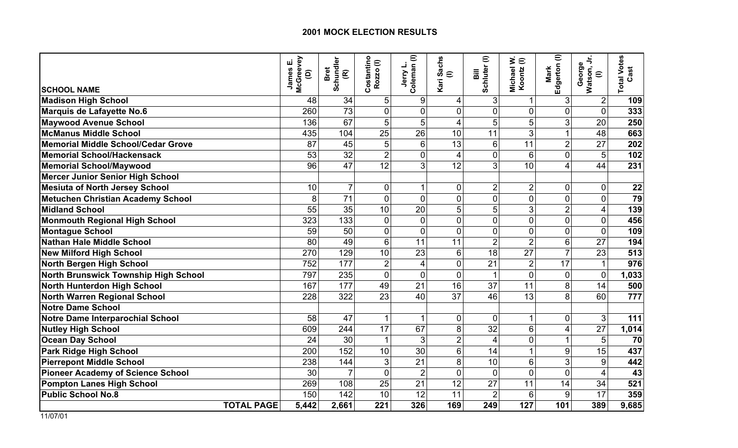|                                          |                   | McGreevey<br>шī<br>James<br>$\widehat{e}$ | Schundler<br><b>Bret</b><br>$\widehat{\mathbf{E}}$ | Costantino<br>Rozzo(I) | Jerry L.<br>Coleman (I) | <b>Sachs</b><br>$\widehat{=}$<br>Kari | Schluter (I)<br>$\overline{\overline{a}}$ | ∋ׂ≲<br>Michael<br>Koontz | Edgerton (I)<br>Mark | George<br>Watson, Jr.<br>$\mathrel{\widehat{=}}$ | <b>Total Votes</b><br>Cast |
|------------------------------------------|-------------------|-------------------------------------------|----------------------------------------------------|------------------------|-------------------------|---------------------------------------|-------------------------------------------|--------------------------|----------------------|--------------------------------------------------|----------------------------|
| <b>SCHOOL NAME</b>                       |                   |                                           |                                                    |                        |                         |                                       |                                           |                          |                      |                                                  |                            |
| <b>Madison High School</b>               |                   | 48<br>260                                 | 34<br>$\overline{73}$                              | 5<br>$\overline{0}$    | 9<br>$\overline{0}$     | 4<br>$\overline{0}$                   | $\mathfrak{B}$<br>$\mathbf 0$             | $\mathbf 0$              | 3<br>$\overline{0}$  | $\overline{2}$<br>$\overline{0}$                 | 109<br>333                 |
| Marquis de Lafayette No.6                |                   |                                           | 67                                                 | 5                      | 5                       |                                       | 5                                         | 5                        | 3                    | 20                                               |                            |
| <b>Maywood Avenue School</b>             |                   | 136                                       |                                                    |                        | 26                      | 4                                     | 11                                        | 3                        |                      | 48                                               | 250                        |
| McManus Middle School                    |                   | 435                                       | 104                                                | 25                     |                         | 10<br>13                              |                                           | 11                       | 1                    |                                                  | 663                        |
| Memorial Middle School/Cedar Grove       |                   | 87                                        | 45                                                 | 5                      | 6                       |                                       | 6                                         |                          | $\overline{2}$       | 27                                               | 202                        |
| Memorial School/Hackensack               |                   | 53                                        | 32                                                 | $\overline{2}$         | $\overline{0}$          | $\overline{4}$                        | $\mathbf 0$                               | 6                        | $\overline{0}$       | 5                                                | 102                        |
| Memorial School/Maywood                  |                   | 96                                        | 47                                                 | 12                     | 3                       | 12                                    | $\overline{3}$                            | 10                       | 4                    | 44                                               | 231                        |
| <b>Mercer Junior Senior High School</b>  |                   |                                           |                                                    |                        |                         |                                       |                                           |                          |                      |                                                  |                            |
| <b>Mesiuta of North Jersey School</b>    |                   | 10                                        | $\overline{7}$                                     | $\mathbf 0$            |                         | $\mathbf 0$                           | $\overline{2}$                            | $\overline{2}$           | 0                    | 0                                                | 22                         |
| <b>Metuchen Christian Academy School</b> |                   | 8                                         | $\overline{71}$                                    | $\overline{0}$         | $\overline{0}$          | $\overline{0}$                        | $\mathbf 0$                               | $\mathbf 0$              | $\overline{0}$       | $\overline{0}$                                   | 79                         |
| <b>Midland School</b>                    |                   | 55                                        | $\overline{35}$                                    | 10                     | 20                      | 5                                     | $\overline{5}$                            | 3                        | $\overline{2}$       | 4                                                | 139                        |
| <b>Monmouth Regional High School</b>     |                   | 323                                       | 133                                                | $\mathbf 0$            | $\overline{0}$          | $\overline{0}$                        | $\mathbf 0$                               | $\mathbf 0$              | $\overline{0}$       | $\overline{0}$                                   | 456                        |
| <b>Montague School</b>                   |                   | 59                                        | 50                                                 | 0                      | $\overline{0}$          | $\overline{0}$                        | $\mathbf 0$                               | $\overline{0}$           | $\overline{0}$       | $\overline{0}$                                   | 109                        |
| Nathan Hale Middle School                |                   | 80                                        | 49                                                 | 6                      | 11                      | 11                                    | $\overline{2}$                            | $\overline{2}$           | 6                    | 27                                               | 194                        |
| <b>New Milford High School</b>           |                   | 270                                       | 129                                                | 10                     | 23                      | $6\phantom{1}6$                       | 18                                        | 27                       | $\overline{7}$       | 23                                               | 513                        |
| North Bergen High School                 |                   | 752                                       | 177                                                | $\overline{2}$         | 4                       | $\overline{0}$                        | 21                                        | $\overline{2}$           | 17                   | $\mathbf 1$                                      | 976                        |
| North Brunswick Township High School     |                   | 797                                       | 235                                                | $\overline{0}$         | $\overline{0}$          | $\overline{0}$                        | 1                                         | $\overline{0}$           | $\overline{0}$       | $\overline{0}$                                   | 1,033                      |
| North Hunterdon High School              |                   | 167                                       | 177                                                | 49                     | 21                      | 16                                    | 37                                        | 11                       | 8                    | 14                                               | 500                        |
| <b>North Warren Regional School</b>      |                   | 228                                       | 322                                                | 23                     | 40                      | 37                                    | 46                                        | 13                       | 8                    | 60                                               | 777                        |
| Notre Dame School                        |                   |                                           |                                                    |                        |                         |                                       |                                           |                          |                      |                                                  |                            |
| Notre Dame Interparochial School         |                   | 58                                        | 47                                                 | 1                      |                         | $\overline{0}$                        | $\mathbf 0$                               | $\mathbf{1}$             | 0                    | 3                                                | 111                        |
| <b>Nutley High School</b>                |                   | 609                                       | 244                                                | 17                     | 67                      | 8                                     | 32                                        | $6\phantom{1}$           | $\overline{4}$       | 27                                               | 1,014                      |
| <b>Ocean Day School</b>                  |                   | 24                                        | 30                                                 | 1                      | 3                       | $\overline{2}$                        | $\overline{4}$                            | $\mathbf 0$              |                      | 5                                                | 70                         |
| <b>Park Ridge High School</b>            |                   | 200                                       | 152                                                | 10                     | 30                      | 6                                     | 14                                        | $\overline{1}$           | 9                    | 15                                               | 437                        |
| <b>Pierrepont Middle School</b>          |                   | 238                                       | 144                                                | 3                      | 21                      | 8                                     | 10                                        | $6\phantom{1}$           | 3                    | 9                                                | 442                        |
| <b>Pioneer Academy of Science School</b> |                   | 30                                        | $\overline{7}$                                     | 0                      | $\overline{2}$          | $\overline{0}$                        | $\overline{0}$                            | $\overline{0}$           | $\overline{0}$       | $\overline{4}$                                   | 43                         |
| <b>Pompton Lanes High School</b>         |                   | 269                                       | 108                                                | 25                     | 21                      | 12                                    | 27                                        | 11                       | 14                   | 34                                               | 521                        |
| <b>Public School No.8</b>                |                   | 150                                       | 142                                                | 10                     | 12                      | 11                                    | $\overline{2}$                            | 6                        | 9                    | 17                                               | 359                        |
|                                          | <b>TOTAL PAGE</b> | 5,442                                     | 2,661                                              | 221                    | 326                     | 169                                   | 249                                       | 127                      | 101                  | 389                                              | 9,685                      |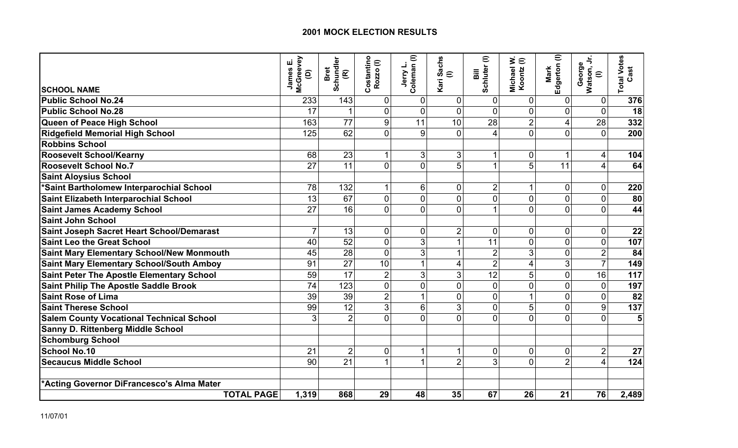|                                                  | <b>McGreevey</b><br>ші<br>James<br>ê | Schundler<br>(R)<br>Bret | Costantino<br>$\mathrel{\widehat{=}}$<br><b>Rozzo</b> | Jerry L.<br>Coleman (I) | <b>Sachs</b><br>$\equiv$<br>Kari | Schluter (I)<br>$\overline{\overline{a}}$ | Michael W.<br>Koontz (I) | Edgerton (I)<br>Mark | George<br>Watson, Jr.<br>$\mathrel{\widehat{=}}$ | <b>Total Votes</b><br>Cast |
|--------------------------------------------------|--------------------------------------|--------------------------|-------------------------------------------------------|-------------------------|----------------------------------|-------------------------------------------|--------------------------|----------------------|--------------------------------------------------|----------------------------|
| <b>SCHOOL NAME</b>                               |                                      |                          |                                                       |                         |                                  |                                           |                          |                      |                                                  |                            |
| <b>Public School No.24</b>                       | 233                                  | 143                      | $\overline{0}$                                        | $\mathbf 0$             | 0                                | $\mathbf 0$                               | $\mathbf 0$              | 0                    | $\mathbf 0$                                      | 376                        |
| <b>Public School No.28</b>                       | 17                                   | 1                        | $\overline{0}$                                        | $\overline{0}$          | $\overline{0}$                   | $\mathbf 0$                               | $\mathbf 0$              | $\overline{0}$       | $\overline{0}$                                   | 18                         |
| Queen of Peace High School                       | 163                                  | 77                       | 9                                                     | 11                      | 10                               | 28                                        | $\overline{2}$           | 4                    | 28                                               | 332                        |
| <b>Ridgefield Memorial High School</b>           | 125                                  | 62                       | $\Omega$                                              | 9                       | $\Omega$                         | $\overline{4}$                            | $\overline{0}$           | $\Omega$             | $\Omega$                                         | 200                        |
| <b>Robbins School</b>                            |                                      |                          |                                                       |                         |                                  |                                           |                          |                      |                                                  |                            |
| <b>Roosevelt School/Kearny</b>                   | 68                                   | 23                       |                                                       | 3                       | 3                                | $\mathbf{1}$                              | $\mathbf 0$              | 1                    | 4                                                | 104                        |
| <b>Roosevelt School No.7</b>                     | 27                                   | 11                       | 0                                                     | $\overline{0}$          | 5                                | $\mathbf{1}$                              | 5                        | 11                   | 4                                                | 64                         |
| <b>Saint Aloysius School</b>                     |                                      |                          |                                                       |                         |                                  |                                           |                          |                      |                                                  |                            |
| *Saint Bartholomew Interparochial School         | 78                                   | 132                      | $\mathbf{1}$                                          | 6                       | $\mathbf 0$                      | $\overline{2}$                            | 1                        | $\mathbf 0$          | $\overline{0}$                                   | 220                        |
| Saint Elizabeth Interparochial School            | 13                                   | 67                       | $\overline{0}$                                        | $\overline{0}$          | $\overline{0}$                   | $\mathbf 0$                               | $\overline{0}$           | $\overline{0}$       | $\overline{0}$                                   | 80                         |
| <b>Saint James Academy School</b>                | 27                                   | 16                       | $\Omega$                                              | $\Omega$                | $\overline{0}$                   | $\mathbf{1}$                              | $\overline{0}$           | $\Omega$             | $\Omega$                                         | 44                         |
| <b>Saint John School</b>                         |                                      |                          |                                                       |                         |                                  |                                           |                          |                      |                                                  |                            |
| Saint Joseph Sacret Heart School/Demarast        | 7                                    | 13                       | $\overline{0}$                                        | $\mathbf 0$             | $\overline{2}$                   | $\mathbf 0$                               | 0                        | 0                    | 0                                                | 22                         |
| <b>Saint Leo the Great School</b>                | 40                                   | 52                       | $\overline{0}$                                        | 3                       | 1                                | 11                                        | $\mathbf 0$              | $\overline{0}$       | $\overline{0}$                                   | 107                        |
| <b>Saint Mary Elementary School/New Monmouth</b> | 45                                   | 28                       | $\Omega$                                              | 3                       |                                  | $\overline{2}$                            | 3                        | $\overline{0}$       | $\overline{2}$                                   | 84                         |
| <b>Saint Mary Elementary School/South Amboy</b>  | 91                                   | 27                       | 10                                                    |                         | 4                                | $\overline{2}$                            | $\overline{4}$           | 3                    | $\overline{7}$                                   | 149                        |
| <b>Saint Peter The Apostle Elementary School</b> | 59                                   | 17                       | $\overline{2}$                                        | 3                       | 3                                | $\overline{12}$                           | 5                        | $\overline{0}$       | 16                                               | 117                        |
| <b>Saint Philip The Apostle Saddle Brook</b>     | 74                                   | 123                      | $\overline{0}$                                        | $\overline{0}$          | $\overline{0}$                   | $\mathbf 0$                               | $\overline{0}$           | $\overline{0}$       | $\overline{0}$                                   | 197                        |
| <b>Saint Rose of Lima</b>                        | 39                                   | 39                       | $\overline{2}$                                        |                         | $\overline{0}$                   | $\overline{0}$                            | 1                        | $\overline{0}$       | $\Omega$                                         | 82                         |
| <b>Saint Therese School</b>                      | 99                                   | 12                       | 3 <sup>1</sup>                                        | 6                       | 3                                | $\mathbf 0$                               | 5                        | $\overline{0}$       | 9                                                | 137                        |
| <b>Salem County Vocational Technical School</b>  | 3                                    | $\overline{2}$           | $\Omega$                                              | 0                       | $\Omega$                         | $\mathbf{0}$                              | $\Omega$                 | $\Omega$             | $\Omega$                                         | 5                          |
| <b>Sanny D. Rittenberg Middle School</b>         |                                      |                          |                                                       |                         |                                  |                                           |                          |                      |                                                  |                            |
| <b>Schomburg School</b>                          |                                      |                          |                                                       |                         |                                  |                                           |                          |                      |                                                  |                            |
| <b>School No.10</b>                              | 21                                   | $\overline{2}$           | $\overline{0}$                                        |                         | 1                                | $\mathbf 0$                               | $\mathbf 0$              | 0                    | $\overline{c}$                                   | 27                         |
| <b>Secaucus Middle School</b>                    | 90                                   | 21                       | $\mathbf 1$                                           |                         | $\overline{2}$                   | 3                                         | $\Omega$                 | $\overline{2}$       | $\overline{\mathbf{4}}$                          | 124                        |
| *Acting Governor DiFrancesco's Alma Mater        |                                      |                          |                                                       |                         |                                  |                                           |                          |                      |                                                  |                            |
| <b>TOTAL PAGE</b>                                | 1,319                                | 868                      | 29                                                    | 48                      | 35                               | 67                                        | 26                       | 21                   | 76                                               | 2,489                      |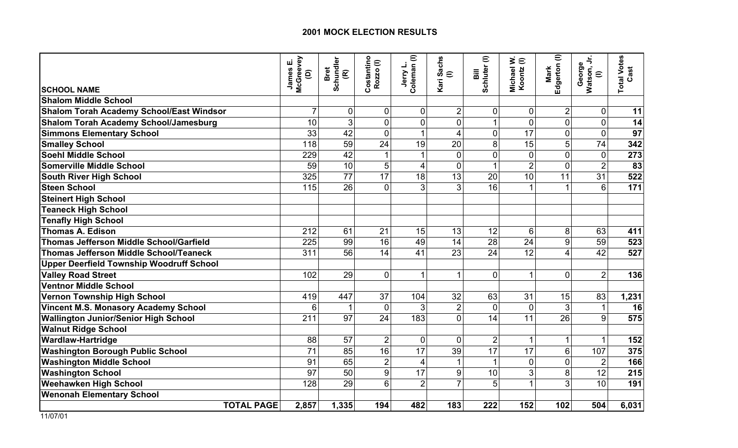|                                                 | McGreevey<br>ய்<br>James<br>ê | Schundler<br>(R)<br>Bret | Costantino<br>Rozzo(I) | Jerry L.<br>Coleman (I) | Sachs<br>$\in$ | Schluter <sup>(I)</sup><br>Bill | ∋ׂ<br>Michael<br>Koontz ( | Edgerton (I)<br>Mark | George<br>Watson, Jr.<br>$\mathrel{\widehat{=}}$ | <b>Total Votes</b><br>Cast |
|-------------------------------------------------|-------------------------------|--------------------------|------------------------|-------------------------|----------------|---------------------------------|---------------------------|----------------------|--------------------------------------------------|----------------------------|
| <b>SCHOOL NAME</b>                              |                               |                          |                        |                         | Kari           |                                 |                           |                      |                                                  |                            |
| <b>Shalom Middle School</b>                     |                               |                          |                        |                         |                |                                 |                           |                      |                                                  |                            |
| Shalom Torah Academy School/East Windsor        | $\overline{7}$                | 0                        | $\mathbf 0$            | 0                       | $\overline{2}$ | $\mathbf 0$                     | 0                         | $\overline{2}$       | $\mathbf 0$                                      | 11                         |
| <b>Shalom Torah Academy School/Jamesburg</b>    | 10                            | 3                        | $\Omega$               | 0                       | 0              | $\mathbf{1}$                    | $\mathbf 0$               | $\overline{0}$       | $\mathbf 0$                                      | 14                         |
| <b>Simmons Elementary School</b>                | 33                            | 42                       | $\overline{0}$         |                         | 4              | $\mathbf 0$                     | 17                        | $\overline{0}$       | $\mathbf 0$                                      | 97                         |
| <b>Smalley School</b>                           | 118                           | 59                       | 24                     | 19                      | 20             | 8                               | 15                        | 5                    | 74                                               | 342                        |
| <b>Soehl Middle School</b>                      | 229                           | 42                       |                        |                         | $\Omega$       | $\overline{0}$                  | $\overline{0}$            | $\Omega$             | $\Omega$                                         | 273                        |
| <b>Somerville Middle School</b>                 | 59                            | 10                       | 5                      | 4                       | $\overline{0}$ | $\overline{1}$                  | $\overline{2}$            | $\overline{0}$       | $\overline{2}$                                   | 83                         |
| <b>South River High School</b>                  | 325                           | 77                       | 17                     | 18                      | 13             | 20                              | 10                        | 11                   | 31                                               | 522                        |
| <b>Steen School</b>                             | 115                           | 26                       | $\overline{0}$         | 3                       | 3              | 16                              |                           |                      | $6\phantom{1}6$                                  | 171                        |
| <b>Steinert High School</b>                     |                               |                          |                        |                         |                |                                 |                           |                      |                                                  |                            |
| <b>Teaneck High School</b>                      |                               |                          |                        |                         |                |                                 |                           |                      |                                                  |                            |
| <b>Tenafly High School</b>                      |                               |                          |                        |                         |                |                                 |                           |                      |                                                  |                            |
| <b>Thomas A. Edison</b>                         | 212                           | 61                       | 21                     | 15                      | 13             | 12                              | 6                         | 8                    | 63                                               | 411                        |
| <b>Thomas Jefferson Middle School/Garfield</b>  | 225                           | 99                       | 16                     | 49                      | 14             | 28                              | 24                        | $\overline{9}$       | 59                                               | 523                        |
| Thomas Jefferson Middle School/Teaneck          | 311                           | 56                       | 14                     | 41                      | 23             | 24                              | 12                        | $\overline{4}$       | 42                                               | 527                        |
| <b>Upper Deerfield Township Woodruff School</b> |                               |                          |                        |                         |                |                                 |                           |                      |                                                  |                            |
| <b>Valley Road Street</b>                       | 102                           | 29                       | $\overline{0}$         | 1                       | 1              | $\mathbf 0$                     | -1                        | $\overline{0}$       | $\overline{2}$                                   | 136                        |
| Ventnor Middle School                           |                               |                          |                        |                         |                |                                 |                           |                      |                                                  |                            |
| Vernon Township High School                     | 419                           | 447                      | 37                     | 104                     | 32             | 63                              | 31                        | 15                   | 83                                               | 1,231                      |
| <b>Vincent M.S. Monasory Academy School</b>     | 6                             | 1                        | $\overline{0}$         | 3                       | $\overline{2}$ | $\overline{0}$                  | $\overline{0}$            | 3                    | $\mathbf{1}$                                     | 16                         |
| <b>Wallington Junior/Senior High School</b>     | 211                           | 97                       | 24                     | 183                     | $\Omega$       | 14                              | 11                        | 26                   | 9                                                | 575                        |
| <b>Walnut Ridge School</b>                      |                               |                          |                        |                         |                |                                 |                           |                      |                                                  |                            |
| <b>Wardlaw-Hartridge</b>                        | 88                            | 57                       | $\overline{2}$         | $\mathbf 0$             | $\mathbf 0$    | $\overline{2}$                  | $\overline{1}$            | $\mathbf{1}$         | $\mathbf 1$                                      | 152                        |
| <b>Washington Borough Public School</b>         | $\overline{71}$               | 85                       | $\overline{16}$        | 17                      | 39             | $\overline{17}$                 | 17                        | 6                    | 107                                              | 375                        |
| <b>Washington Middle School</b>                 | 91                            | 65                       | $\overline{2}$         | 4                       |                | $\mathbf{1}$                    | $\mathbf 0$               | $\overline{0}$       | $\overline{2}$                                   | 166                        |
| <b>Washington School</b>                        | 97                            | 50                       | 9                      | 17                      | 9              | 10                              | 3                         | 8                    | 12                                               | 215                        |
| <b>Weehawken High School</b>                    | 128                           | 29                       | 6                      | $\overline{2}$          | $\overline{7}$ | 5                               | 1                         | 3                    | 10                                               | 191                        |
| <b>Wenonah Elementary School</b>                |                               |                          |                        |                         |                |                                 |                           |                      |                                                  |                            |
| <b>TOTAL PAGE</b>                               | 2,857                         | 1,335                    | 194                    | 482                     | 183            | 222                             | 152                       | 102                  | 504                                              | 6,031                      |